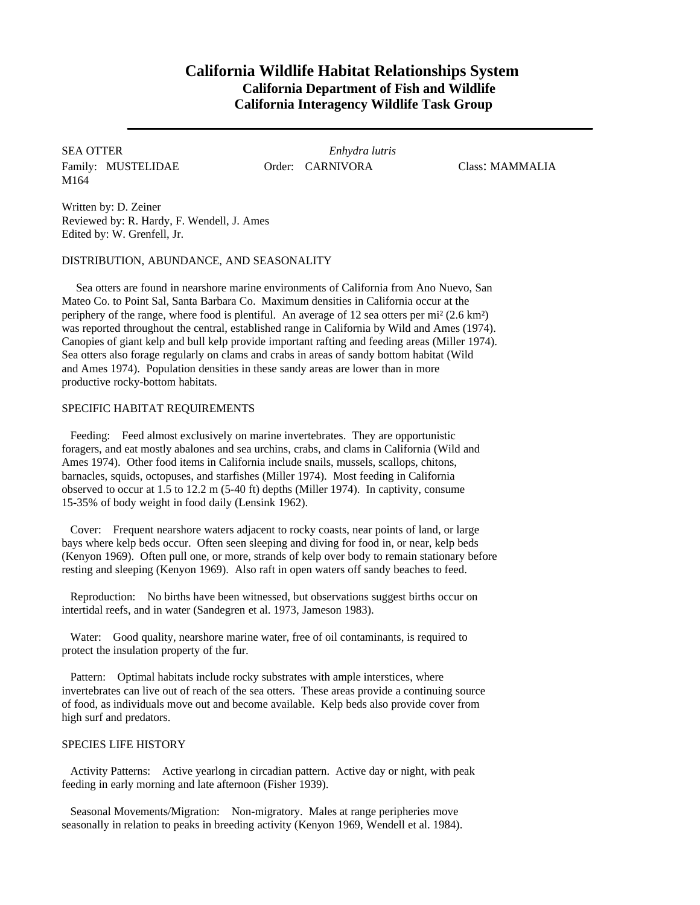# **California Wildlife Habitat Relationships System California Department of Fish and Wildlife California Interagency Wildlife Task Group**

Family: MUSTELIDAE **Order: CARNIVORA** Class: MAMMALIA M164

SEA OTTER *Enhydra lutris*

Written by: D. Zeiner Reviewed by: R. Hardy, F. Wendell, J. Ames Edited by: W. Grenfell, Jr.

## DISTRIBUTION, ABUNDANCE, AND SEASONALITY

Sea otters are found in nearshore marine environments of California from Ano Nuevo, San Mateo Co. to Point Sal, Santa Barbara Co. Maximum densities in California occur at the periphery of the range, where food is plentiful. An average of 12 sea otters per mi² (2.6 km²) was reported throughout the central, established range in California by Wild and Ames (1974). Canopies of giant kelp and bull kelp provide important rafting and feeding areas (Miller 1974). Sea otters also forage regularly on clams and crabs in areas of sandy bottom habitat (Wild and Ames 1974). Population densities in these sandy areas are lower than in more productive rocky-bottom habitats.

## SPECIFIC HABITAT REQUIREMENTS

Feeding: Feed almost exclusively on marine invertebrates. They are opportunistic foragers, and eat mostly abalones and sea urchins, crabs, and clams in California (Wild and Ames 1974). Other food items in California include snails, mussels, scallops, chitons, barnacles, squids, octopuses, and starfishes (Miller 1974). Most feeding in California observed to occur at 1.5 to 12.2 m (5-40 ft) depths (Miller 1974). In captivity, consume 15-35% of body weight in food daily (Lensink 1962).

Cover: Frequent nearshore waters adjacent to rocky coasts, near points of land, or large bays where kelp beds occur. Often seen sleeping and diving for food in, or near, kelp beds (Kenyon 1969). Often pull one, or more, strands of kelp over body to remain stationary before resting and sleeping (Kenyon 1969). Also raft in open waters off sandy beaches to feed.

Reproduction: No births have been witnessed, but observations suggest births occur on intertidal reefs, and in water (Sandegren et al. 1973, Jameson 1983).

Water: Good quality, nearshore marine water, free of oil contaminants, is required to protect the insulation property of the fur.

Pattern: Optimal habitats include rocky substrates with ample interstices, where invertebrates can live out of reach of the sea otters. These areas provide a continuing source of food, as individuals move out and become available. Kelp beds also provide cover from high surf and predators.

#### SPECIES LIFE HISTORY

Activity Patterns: Active yearlong in circadian pattern. Active day or night, with peak feeding in early morning and late afternoon (Fisher 1939).

Seasonal Movements/Migration: Non-migratory. Males at range peripheries move seasonally in relation to peaks in breeding activity (Kenyon 1969, Wendell et al. 1984).